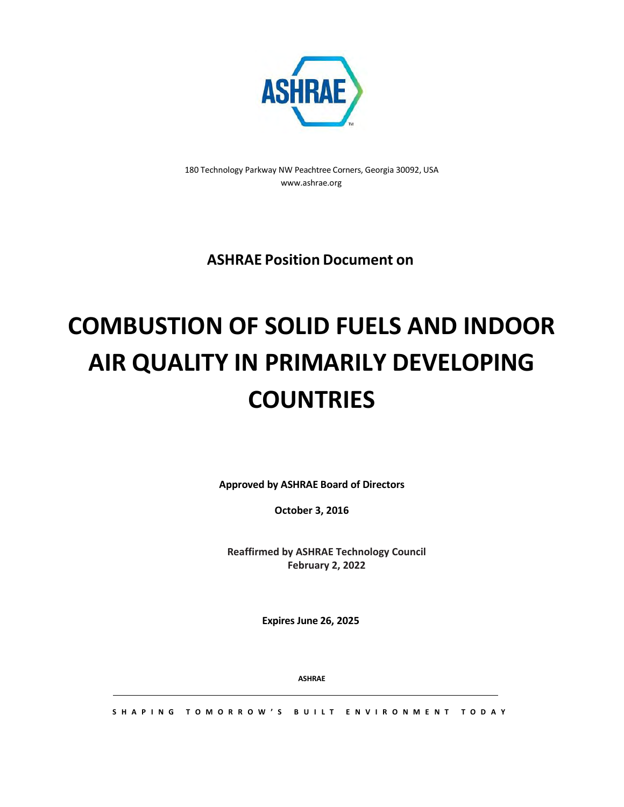

180 Technology Parkway NW Peachtree Corners, Georgia 30092[, USA](http://www.ashrae.org/) [www.ashrae.org](http://www.ashrae.org/)

**ASHRAE Position Document on**

# **COMBUSTION OF SOLID FUELS AND INDOOR AIR QUALITY IN PRIMARILY DEVELOPING COUNTRIES**

**Approved by ASHRAE Board of Directors**

**October 3, 2016**

**Reaffirmed by ASHRAE Technology Council February 2, 2022**

**Expires June 26, 2025**

**ASHRAE**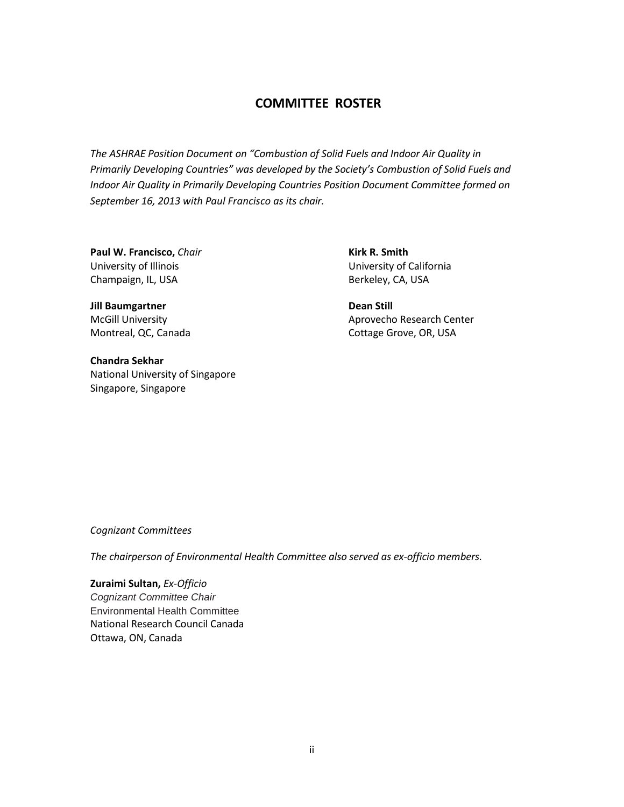## **COMMITTEE ROSTER**

*The ASHRAE Position Document on "Combustion of Solid Fuels and Indoor Air Quality in Primarily Developing Countries" was developed by the Society's Combustion of Solid Fuels and Indoor Air Quality in Primarily Developing Countries Position Document Committee formed on September 16, 2013 with Paul Francisco as its chair.*

**Paul W. Francisco,** *Chair* University of Illinois Champaign, IL, USA

**Kirk R. Smith** University of California Berkeley, CA, USA

**Jill Baumgartner** McGill University Montreal, QC, Canada

**Chandra Sekhar** National University of Singapore Singapore, Singapore

**Dean Still** Aprovecho Research Center Cottage Grove, OR, USA

*Cognizant Committees*

*The chairperson of Environmental Health Committee also served as ex-officio members.*

**Zuraimi Sultan,** *Ex-Officio Cognizant Committee Chair*  Environmental Health Committee National Research Council Canada Ottawa, ON, Canada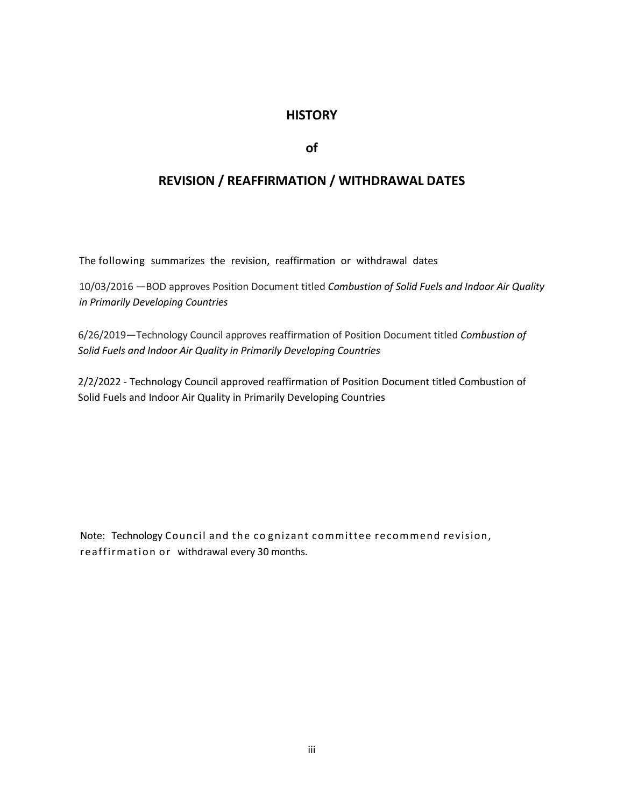## **HISTORY**

#### **of**

## **REVISION / REAFFIRMATION / WITHDRAWAL DATES**

The following summarizes the revision, reaffirmation or withdrawal dates

10/03/2016 —BOD approves Position Document titled *Combustion of Solid Fuels and Indoor Air Quality in Primarily Developing Countries*

6/26/2019—Technology Council approves reaffirmation of Position Document titled *Combustion of Solid Fuels and Indoor Air Quality in Primarily Developing Countries*

2/2/2022 - Technology Council approved reaffirmation of Position Document titled Combustion of Solid Fuels and Indoor Air Quality in Primarily Developing Countries

Note: Technology Council and the co gnizant committee recommend revision, reaffirmation or withdrawal every 30 months.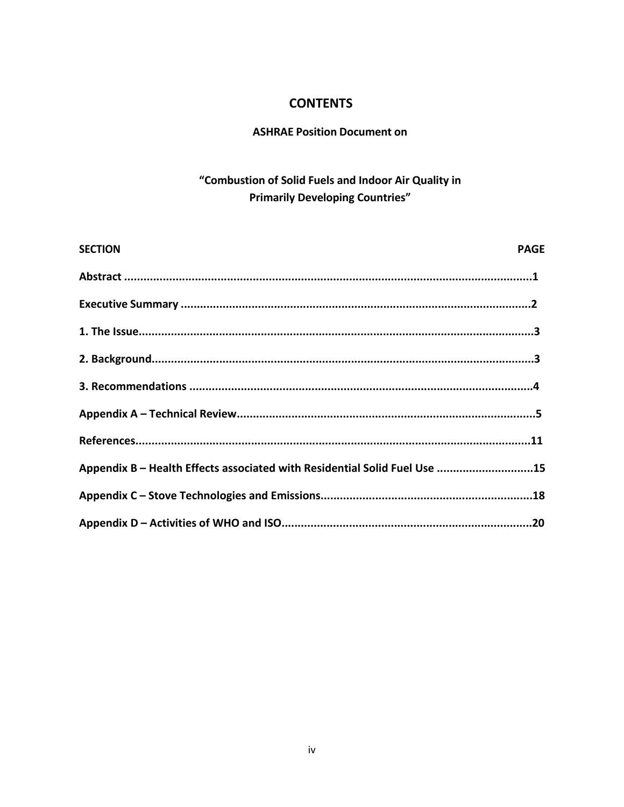## **CONTENTS**

## **ASHRAE Position Document on**

## "Combustion of Solid Fuels and Indoor Air Quality in **Primarily Developing Countries"**

| <b>SECTION</b>                                                            | <b>PAGE</b> |
|---------------------------------------------------------------------------|-------------|
|                                                                           |             |
|                                                                           |             |
|                                                                           |             |
|                                                                           |             |
|                                                                           |             |
|                                                                           |             |
|                                                                           |             |
| Appendix B - Health Effects associated with Residential Solid Fuel Use 15 |             |
|                                                                           |             |
|                                                                           |             |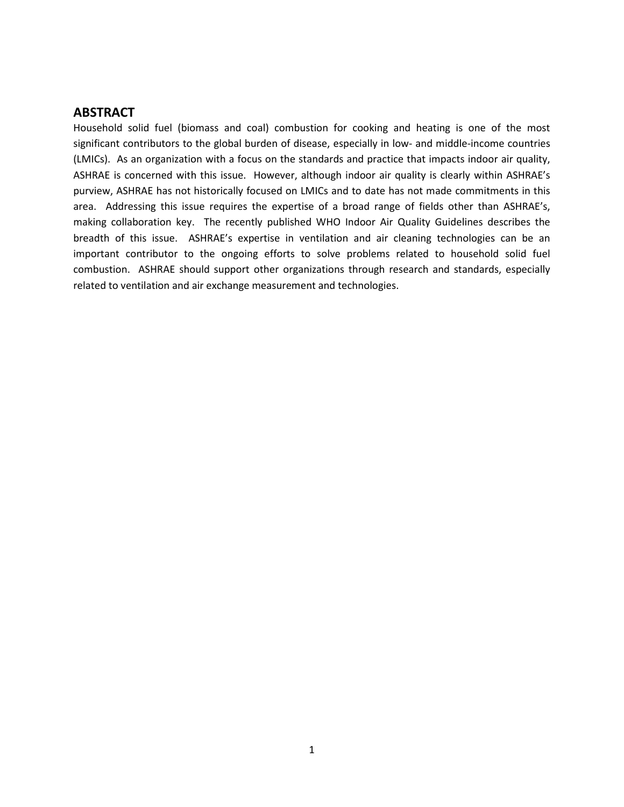#### **ABSTRACT**

Household solid fuel (biomass and coal) combustion for cooking and heating is one of the most significant contributors to the global burden of disease, especially in low- and middle-income countries (LMICs). As an organization with a focus on the standards and practice that impacts indoor air quality, ASHRAE is concerned with this issue. However, although indoor air quality is clearly within ASHRAE's purview, ASHRAE has not historically focused on LMICs and to date has not made commitments in this area. Addressing this issue requires the expertise of a broad range of fields other than ASHRAE's, making collaboration key. The recently published WHO Indoor Air Quality Guidelines describes the breadth of this issue. ASHRAE's expertise in ventilation and air cleaning technologies can be an important contributor to the ongoing efforts to solve problems related to household solid fuel combustion. ASHRAE should support other organizations through research and standards, especially related to ventilation and air exchange measurement and technologies.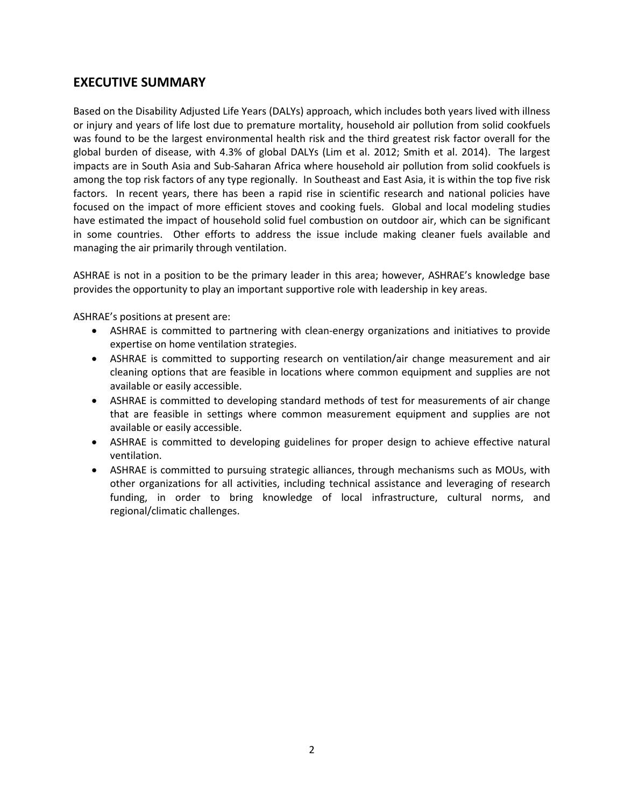## **EXECUTIVE SUMMARY**

Based on the Disability Adjusted Life Years (DALYs) approach, which includes both years lived with illness or injury and years of life lost due to premature mortality, household air pollution from solid cookfuels was found to be the largest environmental health risk and the third greatest risk factor overall for the global burden of disease, with 4.3% of global DALYs (Lim et al. 2012; Smith et al. 2014). The largest impacts are in South Asia and Sub-Saharan Africa where household air pollution from solid cookfuels is among the top risk factors of any type regionally. In Southeast and East Asia, it is within the top five risk factors. In recent years, there has been a rapid rise in scientific research and national policies have focused on the impact of more efficient stoves and cooking fuels. Global and local modeling studies have estimated the impact of household solid fuel combustion on outdoor air, which can be significant in some countries. Other efforts to address the issue include making cleaner fuels available and managing the air primarily through ventilation.

ASHRAE is not in a position to be the primary leader in this area; however, ASHRAE's knowledge base provides the opportunity to play an important supportive role with leadership in key areas.

ASHRAE's positions at present are:

- ASHRAE is committed to partnering with clean-energy organizations and initiatives to provide expertise on home ventilation strategies.
- ASHRAE is committed to supporting research on ventilation/air change measurement and air cleaning options that are feasible in locations where common equipment and supplies are not available or easily accessible.
- ASHRAE is committed to developing standard methods of test for measurements of air change that are feasible in settings where common measurement equipment and supplies are not available or easily accessible.
- ASHRAE is committed to developing guidelines for proper design to achieve effective natural ventilation.
- ASHRAE is committed to pursuing strategic alliances, through mechanisms such as MOUs, with other organizations for all activities, including technical assistance and leveraging of research funding, in order to bring knowledge of local infrastructure, cultural norms, and regional/climatic challenges.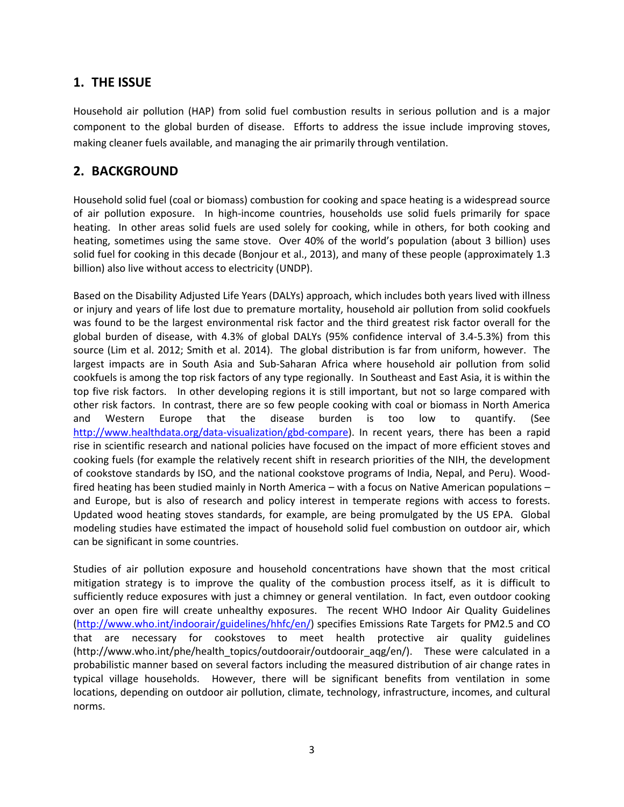## **1. THE ISSUE**

Household air pollution (HAP) from solid fuel combustion results in serious pollution and is a major component to the global burden of disease. Efforts to address the issue include improving stoves, making cleaner fuels available, and managing the air primarily through ventilation.

## **2. BACKGROUND**

Household solid fuel (coal or biomass) combustion for cooking and space heating is a widespread source of air pollution exposure. In high-income countries, households use solid fuels primarily for space heating. In other areas solid fuels are used solely for cooking, while in others, for both cooking and heating, sometimes using the same stove. Over 40% of the world's population (about 3 billion) uses solid fuel for cooking in this decade (Bonjour et al., 2013), and many of these people (approximately 1.3 billion) also live without access to electricity (UNDP).

Based on the Disability Adjusted Life Years (DALYs) approach, which includes both years lived with illness or injury and years of life lost due to premature mortality, household air pollution from solid cookfuels was found to be the largest environmental risk factor and the third greatest risk factor overall for the global burden of disease, with 4.3% of global DALYs (95% confidence interval of 3.4-5.3%) from this source (Lim et al. 2012; Smith et al. 2014). The global distribution is far from uniform, however. The largest impacts are in South Asia and Sub-Saharan Africa where household air pollution from solid cookfuels is among the top risk factors of any type regionally. In Southeast and East Asia, it is within the top five risk factors. In other developing regions it is still important, but not so large compared with other risk factors. In contrast, there are so few people cooking with coal or biomass in North America and Western Europe that the disease burden is too low to quantify. (See [http://www.healthdata.org/data-visualization/gbd-compare\)](http://www.healthdata.org/data-visualization/gbd-compare). In recent years, there has been a rapid rise in scientific research and national policies have focused on the impact of more efficient stoves and cooking fuels (for example the relatively recent shift in research priorities of the NIH, the development of cookstove standards by ISO, and the national cookstove programs of India, Nepal, and Peru). Woodfired heating has been studied mainly in North America – with a focus on Native American populations – and Europe, but is also of research and policy interest in temperate regions with access to forests. Updated wood heating stoves standards, for example, are being promulgated by the US EPA. Global modeling studies have estimated the impact of household solid fuel combustion on outdoor air, which can be significant in some countries.

Studies of air pollution exposure and household concentrations have shown that the most critical mitigation strategy is to improve the quality of the combustion process itself, as it is difficult to sufficiently reduce exposures with just a chimney or general ventilation. In fact, even outdoor cooking over an open fire will create unhealthy exposures. The recent WHO Indoor Air Quality Guidelines [\(http://www.who.int/indoorair/guidelines/hhfc/en/\)](http://www.who.int/indoorair/guidelines/hhfc/en/) specifies Emissions Rate Targets for PM2.5 and CO that are necessary for cookstoves to meet health protective air quality guidelines (http://www.who.int/phe/health\_topics/outdoorair/outdoorair\_aqg/en/). These were calculated in a probabilistic manner based on several factors including the measured distribution of air change rates in typical village households. However, there will be significant benefits from ventilation in some locations, depending on outdoor air pollution, climate, technology, infrastructure, incomes, and cultural norms.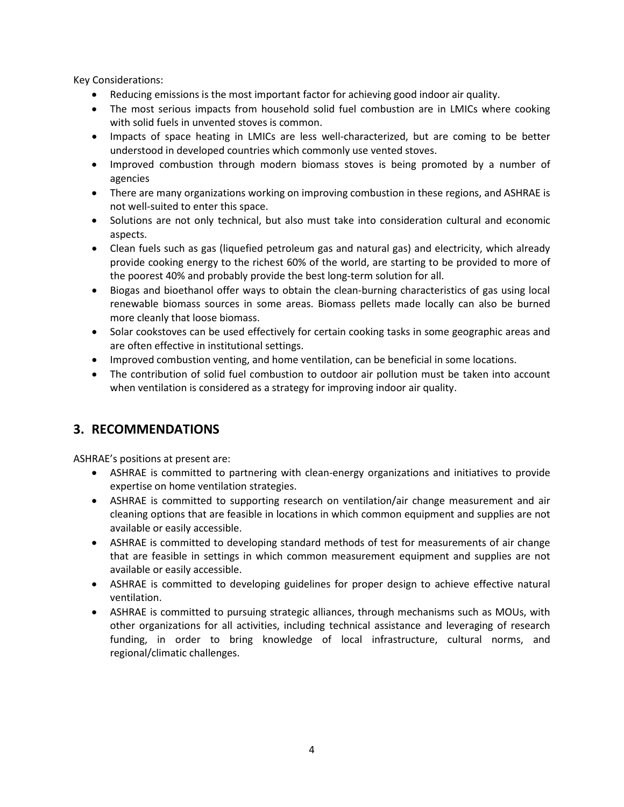Key Considerations:

- Reducing emissions is the most important factor for achieving good indoor air quality.
- The most serious impacts from household solid fuel combustion are in LMICs where cooking with solid fuels in unvented stoves is common.
- Impacts of space heating in LMICs are less well-characterized, but are coming to be better understood in developed countries which commonly use vented stoves.
- Improved combustion through modern biomass stoves is being promoted by a number of agencies
- There are many organizations working on improving combustion in these regions, and ASHRAE is not well-suited to enter this space.
- Solutions are not only technical, but also must take into consideration cultural and economic aspects.
- Clean fuels such as gas (liquefied petroleum gas and natural gas) and electricity, which already provide cooking energy to the richest 60% of the world, are starting to be provided to more of the poorest 40% and probably provide the best long-term solution for all.
- Biogas and bioethanol offer ways to obtain the clean-burning characteristics of gas using local renewable biomass sources in some areas. Biomass pellets made locally can also be burned more cleanly that loose biomass.
- Solar cookstoves can be used effectively for certain cooking tasks in some geographic areas and are often effective in institutional settings.
- Improved combustion venting, and home ventilation, can be beneficial in some locations.
- The contribution of solid fuel combustion to outdoor air pollution must be taken into account when ventilation is considered as a strategy for improving indoor air quality.

## **3. RECOMMENDATIONS**

ASHRAE's positions at present are:

- ASHRAE is committed to partnering with clean-energy organizations and initiatives to provide expertise on home ventilation strategies.
- ASHRAE is committed to supporting research on ventilation/air change measurement and air cleaning options that are feasible in locations in which common equipment and supplies are not available or easily accessible.
- ASHRAE is committed to developing standard methods of test for measurements of air change that are feasible in settings in which common measurement equipment and supplies are not available or easily accessible.
- ASHRAE is committed to developing guidelines for proper design to achieve effective natural ventilation.
- ASHRAE is committed to pursuing strategic alliances, through mechanisms such as MOUs, with other organizations for all activities, including technical assistance and leveraging of research funding, in order to bring knowledge of local infrastructure, cultural norms, and regional/climatic challenges.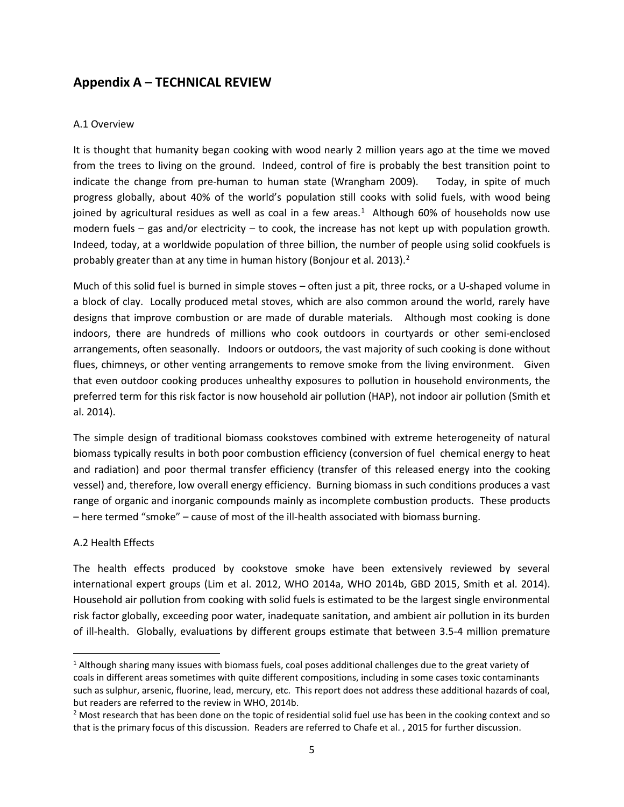## **Appendix A – TECHNICAL REVIEW**

#### A.1 Overview

It is thought that humanity began cooking with wood nearly 2 million years ago at the time we moved from the trees to living on the ground. Indeed, control of fire is probably the best transition point to indicate the change from pre-human to human state (Wrangham 2009). Today, in spite of much progress globally, about 40% of the world's population still cooks with solid fuels, with wood being joined by agricultural residues as well as coal in a few areas.<sup>[1](#page-8-0)</sup> Although 60% of households now use modern fuels – gas and/or electricity – to cook, the increase has not kept up with population growth. Indeed, today, at a worldwide population of three billion, the number of people using solid cookfuels is probably greater than at any time in human history (Bonjour et al. [2](#page-8-1)013).<sup>2</sup>

Much of this solid fuel is burned in simple stoves – often just a pit, three rocks, or a U-shaped volume in a block of clay. Locally produced metal stoves, which are also common around the world, rarely have designs that improve combustion or are made of durable materials. Although most cooking is done indoors, there are hundreds of millions who cook outdoors in courtyards or other semi-enclosed arrangements, often seasonally. Indoors or outdoors, the vast majority of such cooking is done without flues, chimneys, or other venting arrangements to remove smoke from the living environment. Given that even outdoor cooking produces unhealthy exposures to pollution in household environments, the preferred term for this risk factor is now household air pollution (HAP), not indoor air pollution (Smith et al. 2014).

The simple design of traditional biomass cookstoves combined with extreme heterogeneity of natural biomass typically results in both poor combustion efficiency (conversion of fuel chemical energy to heat and radiation) and poor thermal transfer efficiency (transfer of this released energy into the cooking vessel) and, therefore, low overall energy efficiency. Burning biomass in such conditions produces a vast range of organic and inorganic compounds mainly as incomplete combustion products. These products – here termed "smoke" – cause of most of the ill-health associated with biomass burning.

#### A.2 Health Effects

 $\overline{\phantom{a}}$ 

The health effects produced by cookstove smoke have been extensively reviewed by several international expert groups (Lim et al. 2012, WHO 2014a, WHO 2014b, GBD 2015, Smith et al. 2014). Household air pollution from cooking with solid fuels is estimated to be the largest single environmental risk factor globally, exceeding poor water, inadequate sanitation, and ambient air pollution in its burden of ill-health. Globally, evaluations by different groups estimate that between 3.5-4 million premature

<span id="page-8-0"></span><sup>&</sup>lt;sup>1</sup> Although sharing many issues with biomass fuels, coal poses additional challenges due to the great variety of coals in different areas sometimes with quite different compositions, including in some cases toxic contaminants such as sulphur, arsenic, fluorine, lead, mercury, etc. This report does not address these additional hazards of coal, but readers are referred to the review in WHO, 2014b.

<span id="page-8-1"></span><sup>&</sup>lt;sup>2</sup> Most research that has been done on the topic of residential solid fuel use has been in the cooking context and so that is the primary focus of this discussion. Readers are referred to Chafe et al. , 2015 for further discussion.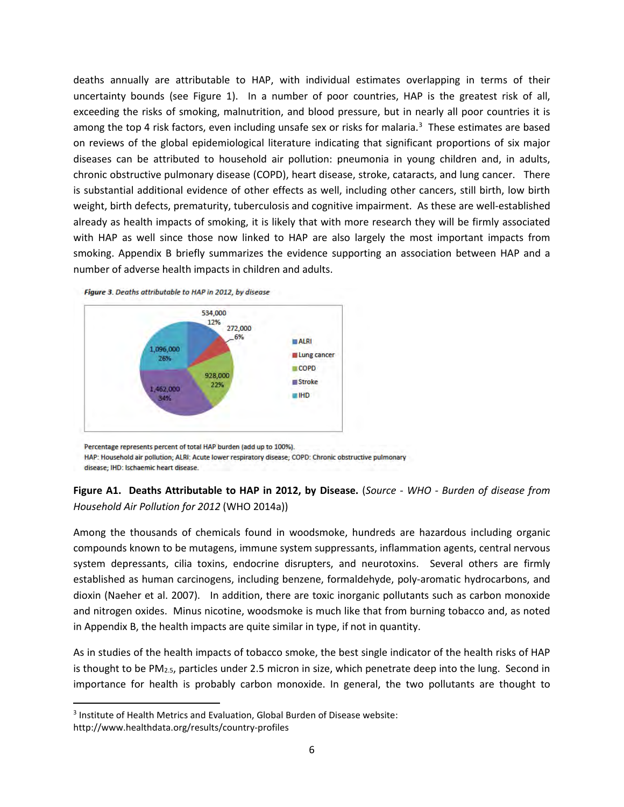deaths annually are attributable to HAP, with individual estimates overlapping in terms of their uncertainty bounds (see Figure 1). In a number of poor countries, HAP is the greatest risk of all, exceeding the risks of smoking, malnutrition, and blood pressure, but in nearly all poor countries it is among the top 4 risk factors, even including unsafe sex or risks for malaria.<sup>[3](#page-9-0)</sup> These estimates are based on reviews of the global epidemiological literature indicating that significant proportions of six major diseases can be attributed to household air pollution: pneumonia in young children and, in adults, chronic obstructive pulmonary disease (COPD), heart disease, stroke, cataracts, and lung cancer. There is substantial additional evidence of other effects as well, including other cancers, still birth, low birth weight, birth defects, prematurity, tuberculosis and cognitive impairment. As these are well-established already as health impacts of smoking, it is likely that with more research they will be firmly associated with HAP as well since those now linked to HAP are also largely the most important impacts from smoking. Appendix B briefly summarizes the evidence supporting an association between HAP and a number of adverse health impacts in children and adults.



Figure 3. Deaths attributable to HAP in 2012, by disease



Percentage represents percent of total HAP burden (add up to 100%).

HAP: Household air pollution; ALRI: Acute lower respiratory disease; COPD: Chronic obstructive pulmonary

disease; IHD: Ischaemic heart disease.

 $\overline{\phantom{a}}$ 

#### **Figure A1. Deaths Attributable to HAP in 2012, by Disease.** (*Source - WHO - Burden of disease from Household Air Pollution for 2012* (WHO 2014a))

Among the thousands of chemicals found in woodsmoke, hundreds are hazardous including organic compounds known to be mutagens, immune system suppressants, inflammation agents, central nervous system depressants, cilia toxins, endocrine disrupters, and neurotoxins. Several others are firmly established as human carcinogens, including benzene, formaldehyde, poly-aromatic hydrocarbons, and dioxin (Naeher et al. 2007). In addition, there are toxic inorganic pollutants such as carbon monoxide and nitrogen oxides. Minus nicotine, woodsmoke is much like that from burning tobacco and, as noted in Appendix B, the health impacts are quite similar in type, if not in quantity.

As in studies of the health impacts of tobacco smoke, the best single indicator of the health risks of HAP is thought to be  $PM<sub>2.5</sub>$ , particles under 2.5 micron in size, which penetrate deep into the lung. Second in importance for health is probably carbon monoxide. In general, the two pollutants are thought to

<span id="page-9-0"></span><sup>3</sup> Institute of Health Metrics and Evaluation, Global Burden of Disease website: http://www.healthdata.org/results/country-profiles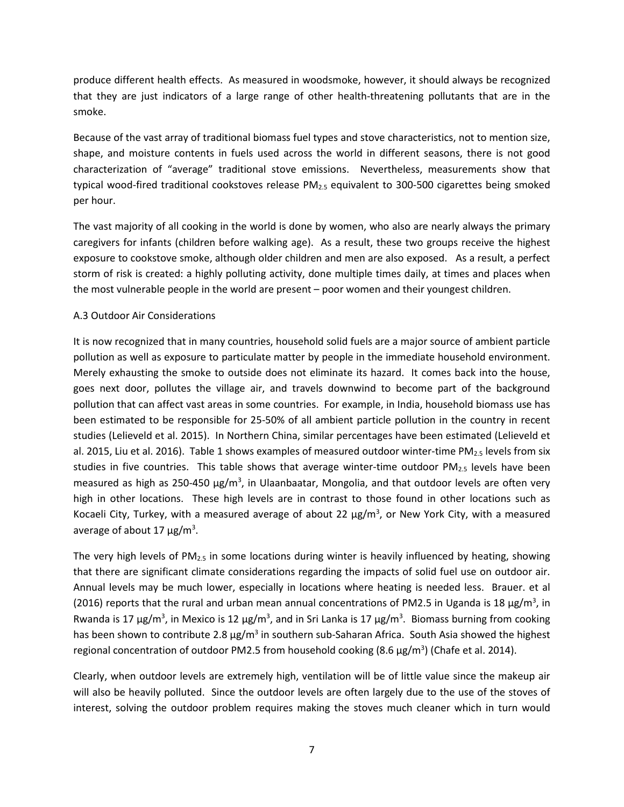produce different health effects. As measured in woodsmoke, however, it should always be recognized that they are just indicators of a large range of other health-threatening pollutants that are in the smoke.

Because of the vast array of traditional biomass fuel types and stove characteristics, not to mention size, shape, and moisture contents in fuels used across the world in different seasons, there is not good characterization of "average" traditional stove emissions. Nevertheless, measurements show that typical wood-fired traditional cookstoves release PM<sub>2.5</sub> equivalent to 300-500 cigarettes being smoked per hour.

The vast majority of all cooking in the world is done by women, who also are nearly always the primary caregivers for infants (children before walking age). As a result, these two groups receive the highest exposure to cookstove smoke, although older children and men are also exposed. As a result, a perfect storm of risk is created: a highly polluting activity, done multiple times daily, at times and places when the most vulnerable people in the world are present – poor women and their youngest children.

#### A.3 Outdoor Air Considerations

It is now recognized that in many countries, household solid fuels are a major source of ambient particle pollution as well as exposure to particulate matter by people in the immediate household environment. Merely exhausting the smoke to outside does not eliminate its hazard. It comes back into the house, goes next door, pollutes the village air, and travels downwind to become part of the background pollution that can affect vast areas in some countries. For example, in India, household biomass use has been estimated to be responsible for 25-50% of all ambient particle pollution in the country in recent studies (Lelieveld et al. 2015). In Northern China, similar percentages have been estimated (Lelieveld et al. 2015, Liu et al. 2016). Table 1 shows examples of measured outdoor winter-time PM<sub>2.5</sub> levels from six studies in five countries. This table shows that average winter-time outdoor  $PM_{2.5}$  levels have been measured as high as 250-450 μg/m<sup>3</sup>, in Ulaanbaatar, Mongolia, and that outdoor levels are often very high in other locations. These high levels are in contrast to those found in other locations such as Kocaeli City, Turkey, with a measured average of about 22  $\mu$ g/m<sup>3</sup>, or New York City, with a measured average of about 17  $\mu$ g/m<sup>3</sup>.

The very high levels of  $PM_{2.5}$  in some locations during winter is heavily influenced by heating, showing that there are significant climate considerations regarding the impacts of solid fuel use on outdoor air. Annual levels may be much lower, especially in locations where heating is needed less. Brauer. et al (2016) reports that the rural and urban mean annual concentrations of PM2.5 in Uganda is 18  $\mu$ g/m<sup>3</sup>, in Rwanda is 17 μg/m<sup>3</sup>, in Mexico is 12 μg/m<sup>3</sup>, and in Sri Lanka is 17 μg/m<sup>3</sup>. Biomass burning from cooking has been shown to contribute 2.8  $\mu$ g/m<sup>3</sup> in southern sub-Saharan Africa. South Asia showed the highest regional concentration of outdoor PM2.5 from household cooking (8.6  $\mu$ g/m<sup>3</sup>) (Chafe et al. 2014).

Clearly, when outdoor levels are extremely high, ventilation will be of little value since the makeup air will also be heavily polluted. Since the outdoor levels are often largely due to the use of the stoves of interest, solving the outdoor problem requires making the stoves much cleaner which in turn would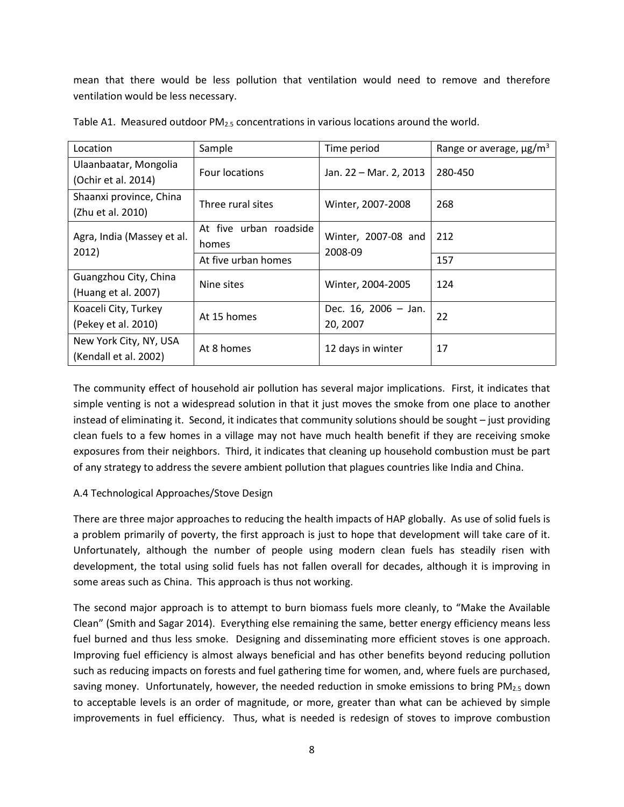mean that there would be less pollution that ventilation would need to remove and therefore ventilation would be less necessary.

| Location                                        | Sample                          | Time period                      | Range or average, $\mu$ g/m <sup>3</sup> |
|-------------------------------------------------|---------------------------------|----------------------------------|------------------------------------------|
| Ulaanbaatar, Mongolia<br>(Ochir et al. 2014)    | <b>Four locations</b>           | Jan. 22 – Mar. 2, 2013           | 280-450                                  |
| Shaanxi province, China<br>(Zhu et al. 2010)    | Three rural sites               | Winter, 2007-2008                | 268                                      |
| Agra, India (Massey et al.<br>2012)             | At five urban roadside<br>homes | Winter, 2007-08 and<br>2008-09   | 212                                      |
|                                                 | At five urban homes             |                                  | 157                                      |
| Guangzhou City, China<br>(Huang et al. 2007)    | Nine sites                      | Winter, 2004-2005                | 124                                      |
| Koaceli City, Turkey<br>(Pekey et al. 2010)     | At 15 homes                     | Dec. 16, 2006 - Jan.<br>20, 2007 | 22                                       |
| New York City, NY, USA<br>(Kendall et al. 2002) | At 8 homes                      | 12 days in winter                | 17                                       |

Table A1. Measured outdoor  $PM<sub>2.5</sub>$  concentrations in various locations around the world.

The community effect of household air pollution has several major implications. First, it indicates that simple venting is not a widespread solution in that it just moves the smoke from one place to another instead of eliminating it. Second, it indicates that community solutions should be sought – just providing clean fuels to a few homes in a village may not have much health benefit if they are receiving smoke exposures from their neighbors. Third, it indicates that cleaning up household combustion must be part of any strategy to address the severe ambient pollution that plagues countries like India and China.

#### A.4 Technological Approaches/Stove Design

There are three major approaches to reducing the health impacts of HAP globally. As use of solid fuels is a problem primarily of poverty, the first approach is just to hope that development will take care of it. Unfortunately, although the number of people using modern clean fuels has steadily risen with development, the total using solid fuels has not fallen overall for decades, although it is improving in some areas such as China. This approach is thus not working.

The second major approach is to attempt to burn biomass fuels more cleanly, to "Make the Available Clean" (Smith and Sagar 2014). Everything else remaining the same, better energy efficiency means less fuel burned and thus less smoke. Designing and disseminating more efficient stoves is one approach. Improving fuel efficiency is almost always beneficial and has other benefits beyond reducing pollution such as reducing impacts on forests and fuel gathering time for women, and, where fuels are purchased, saving money. Unfortunately, however, the needed reduction in smoke emissions to bring  $PM_{2.5}$  down to acceptable levels is an order of magnitude, or more, greater than what can be achieved by simple improvements in fuel efficiency. Thus, what is needed is redesign of stoves to improve combustion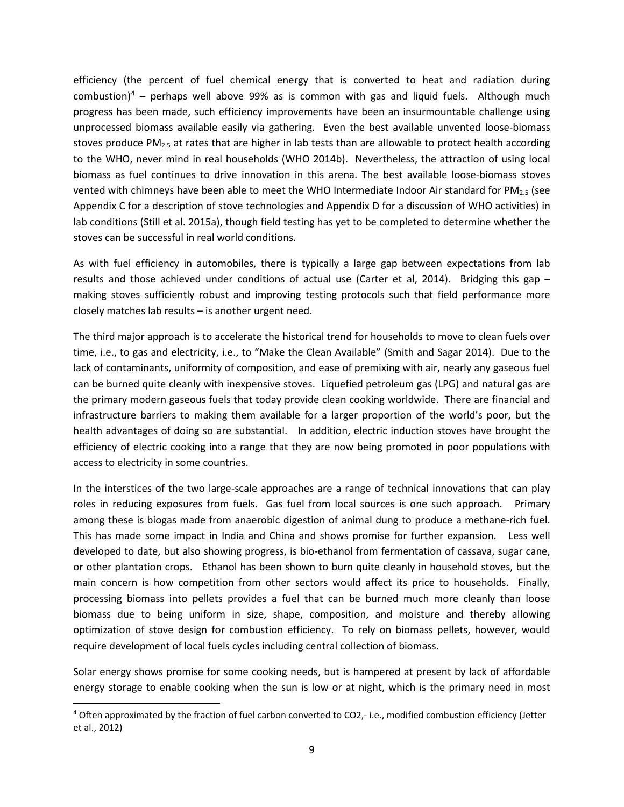efficiency (the percent of fuel chemical energy that is converted to heat and radiation during combustion)<sup>[4](#page-12-0)</sup> – perhaps well above 99% as is common with gas and liquid fuels. Although much progress has been made, such efficiency improvements have been an insurmountable challenge using unprocessed biomass available easily via gathering. Even the best available unvented loose-biomass stoves produce  $PM_{2.5}$  at rates that are higher in lab tests than are allowable to protect health according to the WHO, never mind in real households (WHO 2014b). Nevertheless, the attraction of using local biomass as fuel continues to drive innovation in this arena. The best available loose-biomass stoves vented with chimneys have been able to meet the WHO Intermediate Indoor Air standard for PM<sub>2.5</sub> (see Appendix C for a description of stove technologies and Appendix D for a discussion of WHO activities) in lab conditions (Still et al. 2015a), though field testing has yet to be completed to determine whether the stoves can be successful in real world conditions.

As with fuel efficiency in automobiles, there is typically a large gap between expectations from lab results and those achieved under conditions of actual use (Carter et al, 2014). Bridging this gap – making stoves sufficiently robust and improving testing protocols such that field performance more closely matches lab results – is another urgent need.

The third major approach is to accelerate the historical trend for households to move to clean fuels over time, i.e., to gas and electricity, i.e., to "Make the Clean Available" (Smith and Sagar 2014). Due to the lack of contaminants, uniformity of composition, and ease of premixing with air, nearly any gaseous fuel can be burned quite cleanly with inexpensive stoves. Liquefied petroleum gas (LPG) and natural gas are the primary modern gaseous fuels that today provide clean cooking worldwide. There are financial and infrastructure barriers to making them available for a larger proportion of the world's poor, but the health advantages of doing so are substantial. In addition, electric induction stoves have brought the efficiency of electric cooking into a range that they are now being promoted in poor populations with access to electricity in some countries.

In the interstices of the two large-scale approaches are a range of technical innovations that can play roles in reducing exposures from fuels. Gas fuel from local sources is one such approach. Primary among these is biogas made from anaerobic digestion of animal dung to produce a methane-rich fuel. This has made some impact in India and China and shows promise for further expansion. Less well developed to date, but also showing progress, is bio-ethanol from fermentation of cassava, sugar cane, or other plantation crops. Ethanol has been shown to burn quite cleanly in household stoves, but the main concern is how competition from other sectors would affect its price to households. Finally, processing biomass into pellets provides a fuel that can be burned much more cleanly than loose biomass due to being uniform in size, shape, composition, and moisture and thereby allowing optimization of stove design for combustion efficiency. To rely on biomass pellets, however, would require development of local fuels cycles including central collection of biomass.

Solar energy shows promise for some cooking needs, but is hampered at present by lack of affordable energy storage to enable cooking when the sun is low or at night, which is the primary need in most

 $\overline{\phantom{a}}$ 

<span id="page-12-0"></span><sup>4</sup> Often approximated by the fraction of fuel carbon converted to CO2,- i.e., modified combustion efficiency (Jetter et al., 2012)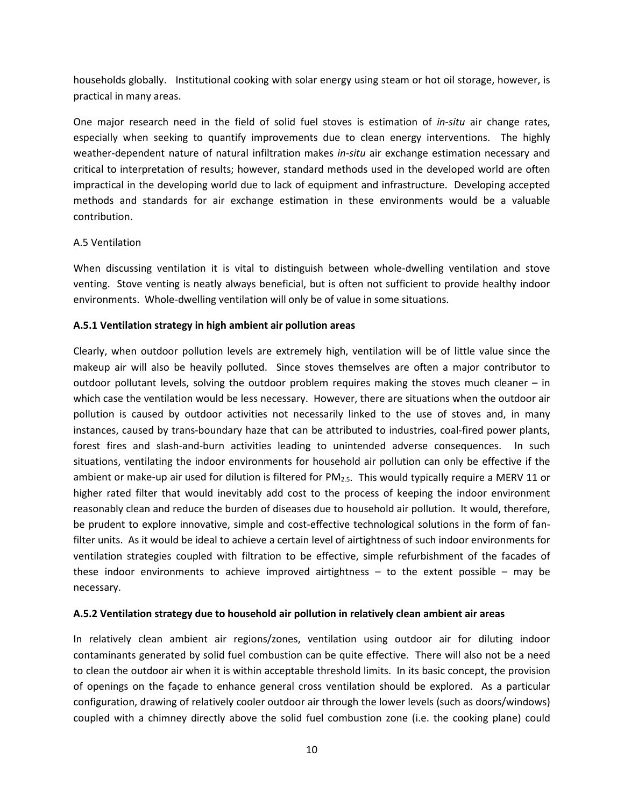households globally. Institutional cooking with solar energy using steam or hot oil storage, however, is practical in many areas.

One major research need in the field of solid fuel stoves is estimation of *in-situ* air change rates, especially when seeking to quantify improvements due to clean energy interventions. The highly weather-dependent nature of natural infiltration makes *in-situ* air exchange estimation necessary and critical to interpretation of results; however, standard methods used in the developed world are often impractical in the developing world due to lack of equipment and infrastructure. Developing accepted methods and standards for air exchange estimation in these environments would be a valuable contribution.

#### A.5 Ventilation

When discussing ventilation it is vital to distinguish between whole-dwelling ventilation and stove venting. Stove venting is neatly always beneficial, but is often not sufficient to provide healthy indoor environments. Whole-dwelling ventilation will only be of value in some situations.

#### **A.5.1 Ventilation strategy in high ambient air pollution areas**

Clearly, when outdoor pollution levels are extremely high, ventilation will be of little value since the makeup air will also be heavily polluted. Since stoves themselves are often a major contributor to outdoor pollutant levels, solving the outdoor problem requires making the stoves much cleaner – in which case the ventilation would be less necessary. However, there are situations when the outdoor air pollution is caused by outdoor activities not necessarily linked to the use of stoves and, in many instances, caused by trans-boundary haze that can be attributed to industries, coal-fired power plants, forest fires and slash-and-burn activities leading to unintended adverse consequences. In such situations, ventilating the indoor environments for household air pollution can only be effective if the ambient or make-up air used for dilution is filtered for PM<sub>2.5</sub>. This would typically require a MERV 11 or higher rated filter that would inevitably add cost to the process of keeping the indoor environment reasonably clean and reduce the burden of diseases due to household air pollution. It would, therefore, be prudent to explore innovative, simple and cost-effective technological solutions in the form of fanfilter units. As it would be ideal to achieve a certain level of airtightness of such indoor environments for ventilation strategies coupled with filtration to be effective, simple refurbishment of the facades of these indoor environments to achieve improved airtightness  $-$  to the extent possible  $-$  may be necessary.

#### **A.5.2 Ventilation strategy due to household air pollution in relatively clean ambient air areas**

In relatively clean ambient air regions/zones, ventilation using outdoor air for diluting indoor contaminants generated by solid fuel combustion can be quite effective. There will also not be a need to clean the outdoor air when it is within acceptable threshold limits. In its basic concept, the provision of openings on the façade to enhance general cross ventilation should be explored. As a particular configuration, drawing of relatively cooler outdoor air through the lower levels (such as doors/windows) coupled with a chimney directly above the solid fuel combustion zone (i.e. the cooking plane) could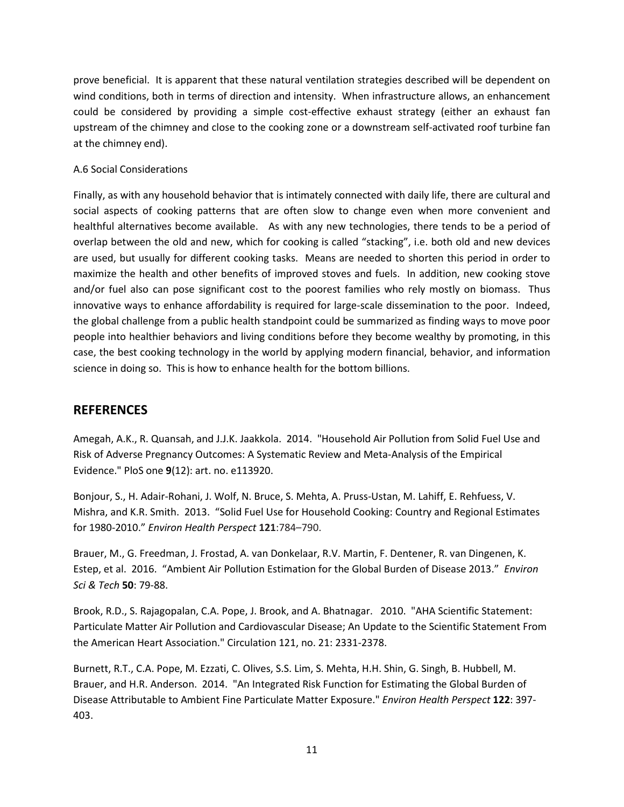prove beneficial. It is apparent that these natural ventilation strategies described will be dependent on wind conditions, both in terms of direction and intensity. When infrastructure allows, an enhancement could be considered by providing a simple cost-effective exhaust strategy (either an exhaust fan upstream of the chimney and close to the cooking zone or a downstream self-activated roof turbine fan at the chimney end).

#### A.6 Social Considerations

Finally, as with any household behavior that is intimately connected with daily life, there are cultural and social aspects of cooking patterns that are often slow to change even when more convenient and healthful alternatives become available. As with any new technologies, there tends to be a period of overlap between the old and new, which for cooking is called "stacking", i.e. both old and new devices are used, but usually for different cooking tasks. Means are needed to shorten this period in order to maximize the health and other benefits of improved stoves and fuels. In addition, new cooking stove and/or fuel also can pose significant cost to the poorest families who rely mostly on biomass. Thus innovative ways to enhance affordability is required for large-scale dissemination to the poor. Indeed, the global challenge from a public health standpoint could be summarized as finding ways to move poor people into healthier behaviors and living conditions before they become wealthy by promoting, in this case, the best cooking technology in the world by applying modern financial, behavior, and information science in doing so. This is how to enhance health for the bottom billions.

### **REFERENCES**

Amegah, A.K., R. Quansah, and J.J.K. Jaakkola. 2014. "Household Air Pollution from Solid Fuel Use and Risk of Adverse Pregnancy Outcomes: A Systematic Review and Meta-Analysis of the Empirical Evidence." PloS one **9**(12): art. no. e113920.

Bonjour, S., H. Adair-Rohani, J. Wolf, N. Bruce, S. Mehta, A. Pruss-Ustan, M. Lahiff, E. Rehfuess, V. Mishra, and K.R. Smith. 2013. "Solid Fuel Use for Household Cooking: Country and Regional Estimates for 1980-2010." *Environ Health Perspect* **121**:784–790.

Brauer, M., G. Freedman, J. Frostad, A. van Donkelaar, R.V. Martin, F. Dentener, R. van Dingenen, K. Estep, et al. 2016. "Ambient Air Pollution Estimation for the Global Burden of Disease 2013." *Environ Sci & Tech* **50**: 79-88.

Brook, R.D., S. Rajagopalan, C.A. Pope, J. Brook, and A. Bhatnagar. 2010. "AHA Scientific Statement: Particulate Matter Air Pollution and Cardiovascular Disease; An Update to the Scientific Statement From the American Heart Association." Circulation 121, no. 21: 2331-2378.

Burnett, R.T., C.A. Pope, M. Ezzati, C. Olives, S.S. Lim, S. Mehta, H.H. Shin, G. Singh, B. Hubbell, M. Brauer, and H.R. Anderson. 2014. "An Integrated Risk Function for Estimating the Global Burden of Disease Attributable to Ambient Fine Particulate Matter Exposure." *Environ Health Perspect* **122**: 397- 403.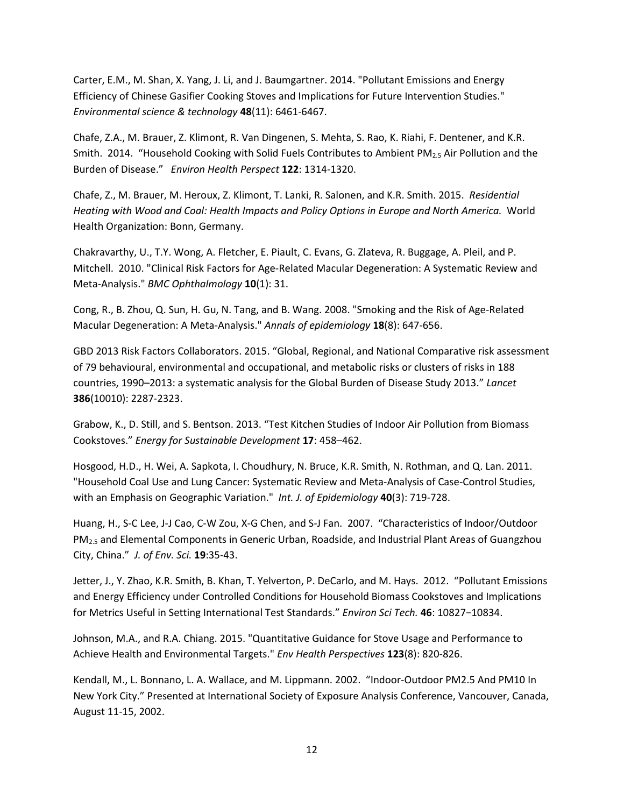Carter, E.M., M. Shan, X. Yang, J. Li, and J. Baumgartner. 2014. "Pollutant Emissions and Energy Efficiency of Chinese Gasifier Cooking Stoves and Implications for Future Intervention Studies." *Environmental science & technology* **48**(11): 6461-6467.

Chafe, Z.A., M. Brauer, Z. Klimont, R. Van Dingenen, S. Mehta, S. Rao, K. Riahi, F. Dentener, and K.R. Smith. 2014. "Household Cooking with Solid Fuels Contributes to Ambient PM2.5 Air Pollution and the Burden of Disease." *Environ Health Perspect* **122**: 1314-1320.

Chafe, Z., M. Brauer, M. Heroux, Z. Klimont, T. Lanki, R. Salonen, and K.R. Smith. 2015. *Residential Heating with Wood and Coal: Health Impacts and Policy Options in Europe and North America.* World Health Organization: Bonn, Germany.

Chakravarthy, U., T.Y. Wong, A. Fletcher, E. Piault, C. Evans, G. Zlateva, R. Buggage, A. Pleil, and P. Mitchell. 2010. "Clinical Risk Factors for Age-Related Macular Degeneration: A Systematic Review and Meta-Analysis." *BMC Ophthalmology* **10**(1): 31.

Cong, R., B. Zhou, Q. Sun, H. Gu, N. Tang, and B. Wang. 2008. "Smoking and the Risk of Age-Related Macular Degeneration: A Meta-Analysis." *Annals of epidemiology* **18**(8): 647-656.

GBD 2013 Risk Factors Collaborators. 2015. "Global, Regional, and National Comparative risk assessment of 79 behavioural, environmental and occupational, and metabolic risks or clusters of risks in 188 countries, 1990–2013: a systematic analysis for the Global Burden of Disease Study 2013." *Lancet* **386**(10010): 2287-2323.

Grabow, K., D. Still, and S. Bentson. 2013. "Test Kitchen Studies of Indoor Air Pollution from Biomass Cookstoves." *Energy for Sustainable Development* **17**: 458–462.

Hosgood, H.D., H. Wei, A. Sapkota, I. Choudhury, N. Bruce, K.R. Smith, N. Rothman, and Q. Lan. 2011. "Household Coal Use and Lung Cancer: Systematic Review and Meta-Analysis of Case-Control Studies, with an Emphasis on Geographic Variation." *Int. J. of Epidemiology* **40**(3): 719-728.

Huang, H., S-C Lee, J-J Cao, C-W Zou, X-G Chen, and S-J Fan. 2007. "Characteristics of Indoor/Outdoor PM2.5 and Elemental Components in Generic Urban, Roadside, and Industrial Plant Areas of Guangzhou City, China." *J. of Env. Sci.* **19**:35-43.

Jetter, J., Y. Zhao, K.R. Smith, B. Khan, T. Yelverton, P. DeCarlo, and M. Hays. 2012. "Pollutant Emissions and Energy Efficiency under Controlled Conditions for Household Biomass Cookstoves and Implications for Metrics Useful in Setting International Test Standards." *Environ Sci Tech.* **46**: 10827−10834.

Johnson, M.A., and R.A. Chiang. 2015. "Quantitative Guidance for Stove Usage and Performance to Achieve Health and Environmental Targets." *Env Health Perspectives* **123**(8): 820-826.

Kendall, M., L. Bonnano, L. A. Wallace, and M. Lippmann. 2002. "Indoor-Outdoor PM2.5 And PM10 In New York City." Presented at International Society of Exposure Analysis Conference, Vancouver, Canada, August 11-15, 2002.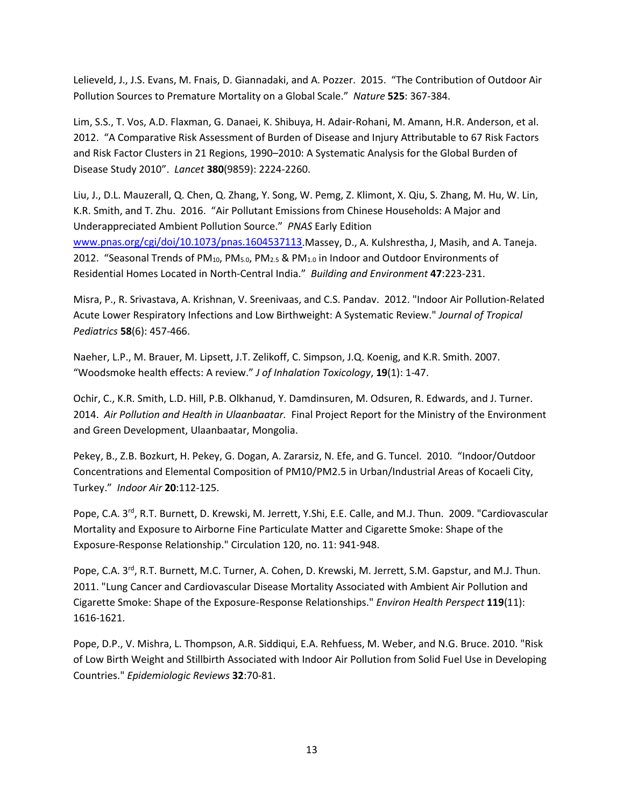Lelieveld, J., J.S. Evans, M. Fnais, D. Giannadaki, and A. Pozzer. 2015. "The Contribution of Outdoor Air Pollution Sources to Premature Mortality on a Global Scale." *Nature* **525**: 367-384.

Lim, S.S., T. Vos, A.D. Flaxman, G. Danaei, K. Shibuya, H. Adair-Rohani, M. Amann, H.R. Anderson, et al. 2012. "A Comparative Risk Assessment of Burden of Disease and Injury Attributable to 67 Risk Factors and Risk Factor Clusters in 21 Regions, 1990–2010: A Systematic Analysis for the Global Burden of Disease Study 2010". *Lancet* **380**(9859): 2224-2260.

Liu, J., D.L. Mauzerall, Q. Chen, Q. Zhang, Y. Song, W. Pemg, Z. Klimont, X. Qiu, S. Zhang, M. Hu, W. Lin, K.R. Smith, and T. Zhu. 2016. "Air Pollutant Emissions from Chinese Households: A Major and Underappreciated Ambient Pollution Source." *PNAS* Early Edition [www.pnas.org/cgi/doi/10.1073/pnas.1604537113.](http://www.pnas.org/cgi/doi/10.1073/pnas.1604537113)Massey, D., A. Kulshrestha, J, Masih, and A. Taneja. 2012. "Seasonal Trends of PM<sub>10</sub>, PM<sub>5.0</sub>, PM<sub>2.5</sub> & PM<sub>1.0</sub> in Indoor and Outdoor Environments of Residential Homes Located in North-Central India." *Building and Environment* **47**:223-231.

Misra, P., R. Srivastava, A. Krishnan, V. Sreenivaas, and C.S. Pandav. 2012. "Indoor Air Pollution-Related Acute Lower Respiratory Infections and Low Birthweight: A Systematic Review." *Journal of Tropical Pediatrics* **58**(6): 457-466.

Naeher, L.P., M. Brauer, M. Lipsett, J.T. Zelikoff, C. Simpson, J.Q. Koenig, and K.R. Smith. 2007. "Woodsmoke health effects: A review." *J of Inhalation Toxicology*, **19**(1): 1-47.

Ochir, C., K.R. Smith, L.D. Hill, P.B. Olkhanud, Y. Damdinsuren, M. Odsuren, R. Edwards, and J. Turner. 2014. *Air Pollution and Health in Ulaanbaatar.* Final Project Report for the Ministry of the Environment and Green Development, Ulaanbaatar, Mongolia.

Pekey, B., Z.B. Bozkurt, H. Pekey, G. Dogan, A. Zararsiz, N. Efe, and G. Tuncel. 2010. "Indoor/Outdoor Concentrations and Elemental Composition of PM10/PM2.5 in Urban/Industrial Areas of Kocaeli City, Turkey." *Indoor Air* **20**:112-125.

Pope, C.A. 3<sup>rd</sup>, R.T. Burnett, D. Krewski, M. Jerrett, Y.Shi, E.E. Calle, and M.J. Thun. 2009. "Cardiovascular Mortality and Exposure to Airborne Fine Particulate Matter and Cigarette Smoke: Shape of the Exposure-Response Relationship." Circulation 120, no. 11: 941-948.

Pope, C.A. 3<sup>rd</sup>, R.T. Burnett, M.C. Turner, A. Cohen, D. Krewski, M. Jerrett, S.M. Gapstur, and M.J. Thun. 2011. "Lung Cancer and Cardiovascular Disease Mortality Associated with Ambient Air Pollution and Cigarette Smoke: Shape of the Exposure-Response Relationships." *Environ Health Perspect* **119**(11): 1616-1621.

Pope, D.P., V. Mishra, L. Thompson, A.R. Siddiqui, E.A. Rehfuess, M. Weber, and N.G. Bruce. 2010. "Risk of Low Birth Weight and Stillbirth Associated with Indoor Air Pollution from Solid Fuel Use in Developing Countries." *Epidemiologic Reviews* **32**:70-81.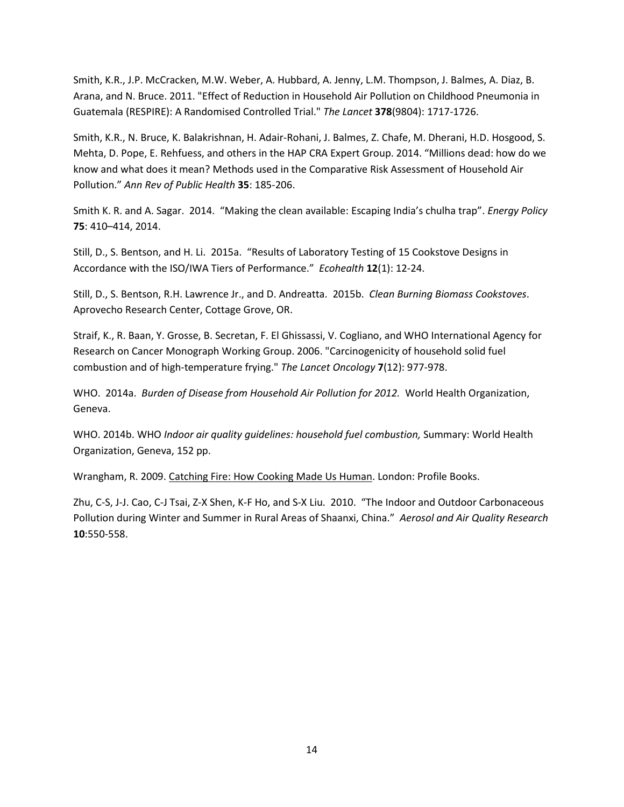Smith, K.R., J.P. McCracken, M.W. Weber, A. Hubbard, A. Jenny, L.M. Thompson, J. Balmes, A. Diaz, B. Arana, and N. Bruce. 2011. "Effect of Reduction in Household Air Pollution on Childhood Pneumonia in Guatemala (RESPIRE): A Randomised Controlled Trial." *The Lancet* **378**(9804): 1717-1726.

Smith, K.R., N. Bruce, K. Balakrishnan, H. Adair-Rohani, J. Balmes, Z. Chafe, M. Dherani, H.D. Hosgood, S. Mehta, D. Pope, E. Rehfuess, and others in the HAP CRA Expert Group. 2014. "Millions dead: how do we know and what does it mean? Methods used in the Comparative Risk Assessment of Household Air Pollution." *Ann Rev of Public Health* **35**: 185-206.

Smith K. R. and A. Sagar. 2014. "Making the clean available: Escaping India's chulha trap". *Energy Policy* **75**: 410–414, 2014.

Still, D., S. Bentson, and H. Li. 2015a. "Results of Laboratory Testing of 15 Cookstove Designs in Accordance with the ISO/IWA Tiers of Performance." *Ecohealth* **12**(1): 12-24.

Still, D., S. Bentson, R.H. Lawrence Jr., and D. Andreatta. 2015b. *Clean Burning Biomass Cookstoves*. Aprovecho Research Center, Cottage Grove, OR.

Straif, K., R. Baan, Y. Grosse, B. Secretan, F. El Ghissassi, V. Cogliano, and WHO International Agency for Research on Cancer Monograph Working Group. 2006. "Carcinogenicity of household solid fuel combustion and of high-temperature frying." *The Lancet Oncology* **7**(12): 977-978.

WHO. 2014a. *Burden of Disease from Household Air Pollution for 2012.* World Health Organization, Geneva.

WHO. 2014b. WHO *Indoor air quality guidelines: household fuel combustion,* Summary: World Health Organization, Geneva, 152 pp.

Wrangham, R. 2009. Catching Fire: How Cooking Made Us Human. London: Profile Books.

Zhu, C-S, J-J. Cao, C-J Tsai, Z-X Shen, K-F Ho, and S-X Liu. 2010. "The Indoor and Outdoor Carbonaceous Pollution during Winter and Summer in Rural Areas of Shaanxi, China." *Aerosol and Air Quality Research* **10**:550-558.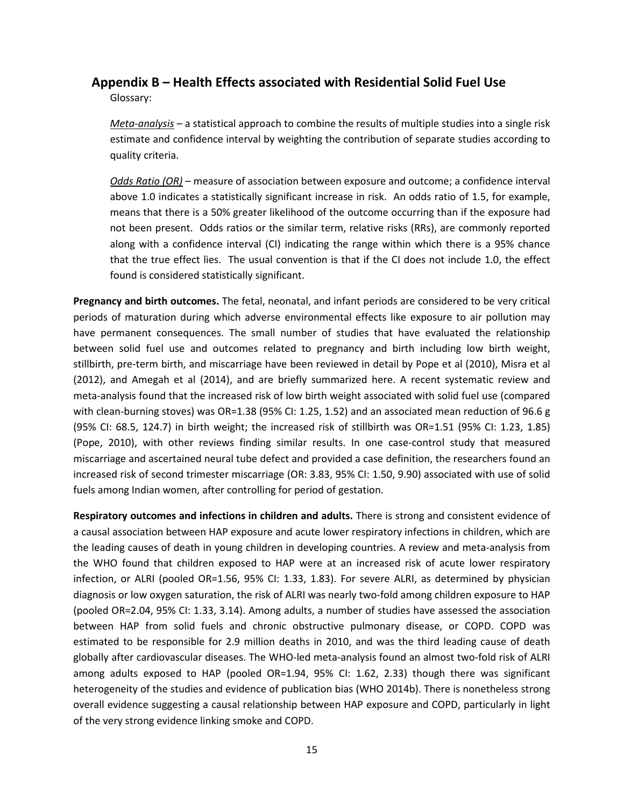#### **Appendix B – Health Effects associated with Residential Solid Fuel Use**

Glossary:

*Meta-analysis* – a statistical approach to combine the results of multiple studies into a single risk estimate and confidence interval by weighting the contribution of separate studies according to quality criteria.

*Odds Ratio (OR)* – measure of association between exposure and outcome; a confidence interval above 1.0 indicates a statistically significant increase in risk. An odds ratio of 1.5, for example, means that there is a 50% greater likelihood of the outcome occurring than if the exposure had not been present. Odds ratios or the similar term, relative risks (RRs), are commonly reported along with a confidence interval (CI) indicating the range within which there is a 95% chance that the true effect lies. The usual convention is that if the CI does not include 1.0, the effect found is considered statistically significant.

**Pregnancy and birth outcomes.** The fetal, neonatal, and infant periods are considered to be very critical periods of maturation during which adverse environmental effects like exposure to air pollution may have permanent consequences. The small number of studies that have evaluated the relationship between solid fuel use and outcomes related to pregnancy and birth including low birth weight, stillbirth, pre-term birth, and miscarriage have been reviewed in detail by Pope et al (2010), Misra et al (2012), and Amegah et al (2014), and are briefly summarized here. A recent systematic review and meta-analysis found that the increased risk of low birth weight associated with solid fuel use (compared with clean-burning stoves) was OR=1.38 (95% CI: 1.25, 1.52) and an associated mean reduction of 96.6 g (95% CI: 68.5, 124.7) in birth weight; the increased risk of stillbirth was OR=1.51 (95% CI: 1.23, 1.85) (Pope, 2010), with other reviews finding similar results. In one case-control study that measured miscarriage and ascertained neural tube defect and provided a case definition, the researchers found an increased risk of second trimester miscarriage (OR: 3.83, 95% CI: 1.50, 9.90) associated with use of solid fuels among Indian women, after controlling for period of gestation.

**Respiratory outcomes and infections in children and adults.** There is strong and consistent evidence of a causal association between HAP exposure and acute lower respiratory infections in children, which are the leading causes of death in young children in developing countries. A review and meta-analysis from the WHO found that children exposed to HAP were at an increased risk of acute lower respiratory infection, or ALRI (pooled OR=1.56, 95% CI: 1.33, 1.83). For severe ALRI, as determined by physician diagnosis or low oxygen saturation, the risk of ALRI was nearly two-fold among children exposure to HAP (pooled OR=2.04, 95% CI: 1.33, 3.14). Among adults, a number of studies have assessed the association between HAP from solid fuels and chronic obstructive pulmonary disease, or COPD. COPD was estimated to be responsible for 2.9 million deaths in 2010, and was the third leading cause of death globally after cardiovascular diseases. The WHO-led meta-analysis found an almost two-fold risk of ALRI among adults exposed to HAP (pooled OR=1.94, 95% CI: 1.62, 2.33) though there was significant heterogeneity of the studies and evidence of publication bias (WHO 2014b). There is nonetheless strong overall evidence suggesting a causal relationship between HAP exposure and COPD, particularly in light of the very strong evidence linking smoke and COPD.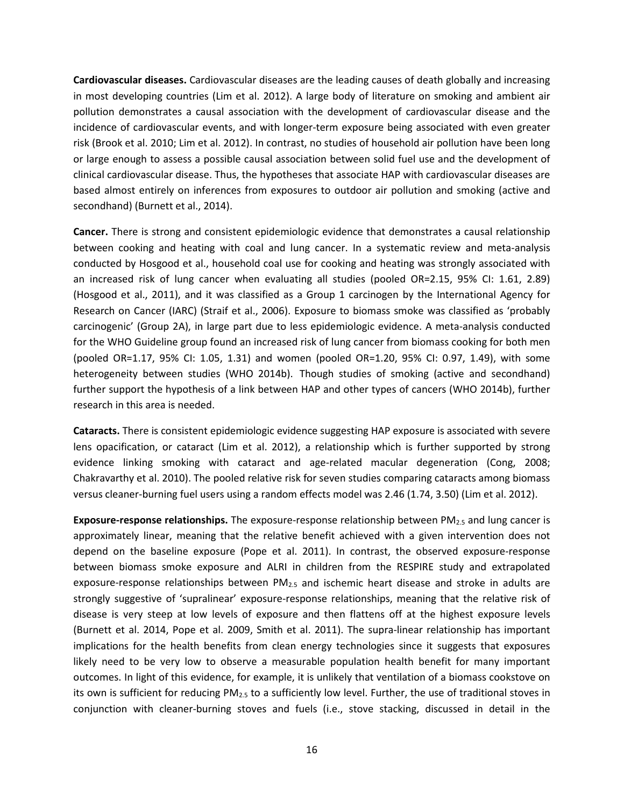**Cardiovascular diseases.** Cardiovascular diseases are the leading causes of death globally and increasing in most developing countries (Lim et al. 2012). A large body of literature on smoking and ambient air pollution demonstrates a causal association with the development of cardiovascular disease and the incidence of cardiovascular events, and with longer-term exposure being associated with even greater risk (Brook et al. 2010; Lim et al. 2012). In contrast, no studies of household air pollution have been long or large enough to assess a possible causal association between solid fuel use and the development of clinical cardiovascular disease. Thus, the hypotheses that associate HAP with cardiovascular diseases are based almost entirely on inferences from exposures to outdoor air pollution and smoking (active and secondhand) (Burnett et al., 2014).

**Cancer.** There is strong and consistent epidemiologic evidence that demonstrates a causal relationship between cooking and heating with coal and lung cancer. In a systematic review and meta-analysis conducted by Hosgood et al., household coal use for cooking and heating was strongly associated with an increased risk of lung cancer when evaluating all studies (pooled OR=2.15, 95% CI: 1.61, 2.89) (Hosgood et al., 2011), and it was classified as a Group 1 carcinogen by the International Agency for Research on Cancer (IARC) (Straif et al., 2006). Exposure to biomass smoke was classified as 'probably carcinogenic' (Group 2A), in large part due to less epidemiologic evidence. A meta-analysis conducted for the WHO Guideline group found an increased risk of lung cancer from biomass cooking for both men (pooled OR=1.17, 95% CI: 1.05, 1.31) and women (pooled OR=1.20, 95% CI: 0.97, 1.49), with some heterogeneity between studies (WHO 2014b). Though studies of smoking (active and secondhand) further support the hypothesis of a link between HAP and other types of cancers (WHO 2014b), further research in this area is needed.

**Cataracts.** There is consistent epidemiologic evidence suggesting HAP exposure is associated with severe lens opacification, or cataract (Lim et al. 2012), a relationship which is further supported by strong evidence linking smoking with cataract and age-related macular degeneration (Cong, 2008; Chakravarthy et al. 2010). The pooled relative risk for seven studies comparing cataracts among biomass versus cleaner-burning fuel users using a random effects model was 2.46 (1.74, 3.50) (Lim et al. 2012).

**Exposure-response relationships.** The exposure-response relationship between PM2.5 and lung cancer is approximately linear, meaning that the relative benefit achieved with a given intervention does not depend on the baseline exposure (Pope et al. 2011). In contrast, the observed exposure-response between biomass smoke exposure and ALRI in children from the RESPIRE study and extrapolated exposure-response relationships between PM<sub>2.5</sub> and ischemic heart disease and stroke in adults are strongly suggestive of 'supralinear' exposure-response relationships, meaning that the relative risk of disease is very steep at low levels of exposure and then flattens off at the highest exposure levels (Burnett et al. 2014, Pope et al. 2009, Smith et al. 2011). The supra-linear relationship has important implications for the health benefits from clean energy technologies since it suggests that exposures likely need to be very low to observe a measurable population health benefit for many important outcomes. In light of this evidence, for example, it is unlikely that ventilation of a biomass cookstove on its own is sufficient for reducing  $PM_{2.5}$  to a sufficiently low level. Further, the use of traditional stoves in conjunction with cleaner-burning stoves and fuels (i.e., stove stacking, discussed in detail in the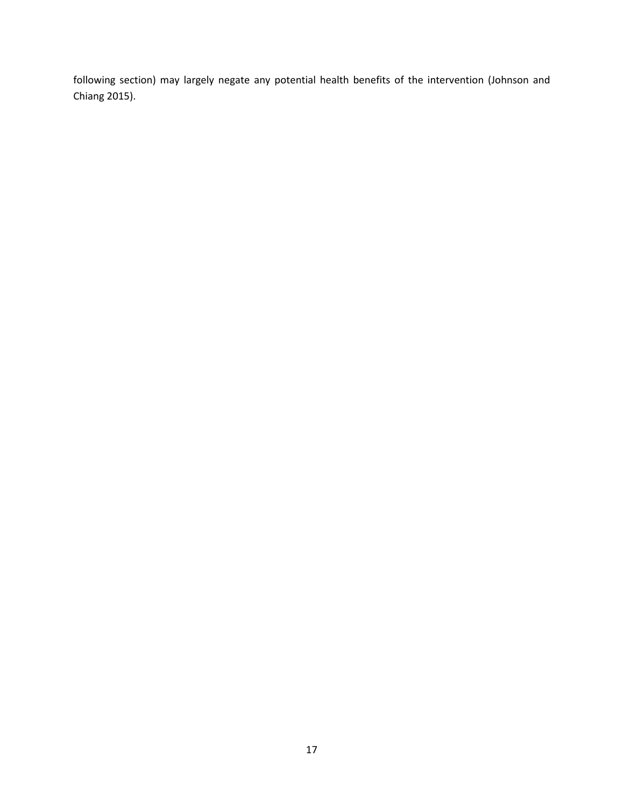following section) may largely negate any potential health benefits of the intervention (Johnson and Chiang 2015).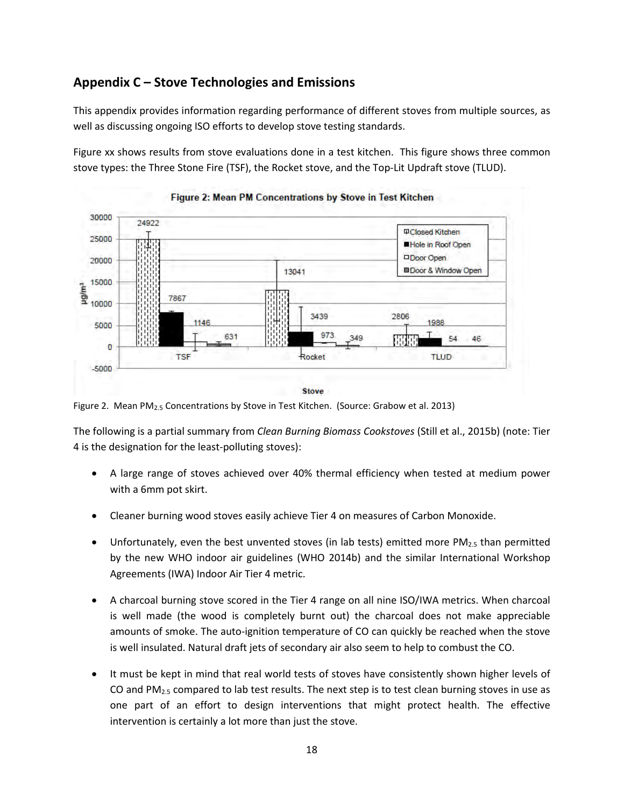## **Appendix C – Stove Technologies and Emissions**

This appendix provides information regarding performance of different stoves from multiple sources, as well as discussing ongoing ISO efforts to develop stove testing standards.

Figure xx shows results from stove evaluations done in a test kitchen. This figure shows three common stove types: the Three Stone Fire (TSF), the Rocket stove, and the Top-Lit Updraft stove (TLUD).





Figure 2. Mean PM<sub>2.5</sub> Concentrations by Stove in Test Kitchen. (Source: Grabow et al. 2013)

The following is a partial summary from *Clean Burning Biomass Cookstoves* (Still et al., 2015b) (note: Tier 4 is the designation for the least-polluting stoves):

- A large range of stoves achieved over 40% thermal efficiency when tested at medium power with a 6mm pot skirt.
- Cleaner burning wood stoves easily achieve Tier 4 on measures of Carbon Monoxide.
- Unfortunately, even the best unvented stoves (in lab tests) emitted more  $PM_{2.5}$  than permitted by the new WHO indoor air guidelines (WHO 2014b) and the similar International Workshop Agreements (IWA) Indoor Air Tier 4 metric.
- A charcoal burning stove scored in the Tier 4 range on all nine ISO/IWA metrics. When charcoal is well made (the wood is completely burnt out) the charcoal does not make appreciable amounts of smoke. The auto-ignition temperature of CO can quickly be reached when the stove is well insulated. Natural draft jets of secondary air also seem to help to combust the CO.
- It must be kept in mind that real world tests of stoves have consistently shown higher levels of CO and PM2.5 compared to lab test results. The next step is to test clean burning stoves in use as one part of an effort to design interventions that might protect health. The effective intervention is certainly a lot more than just the stove.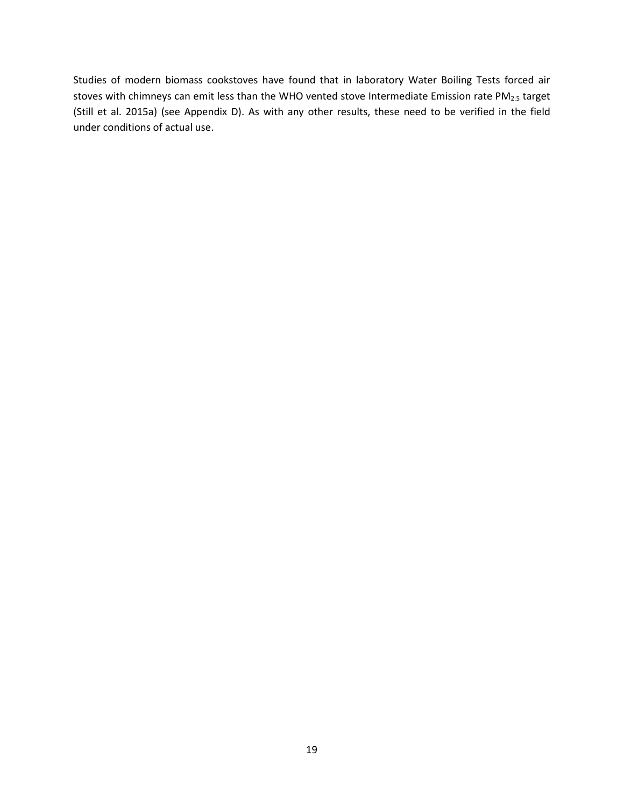Studies of modern biomass cookstoves have found that in laboratory Water Boiling Tests forced air stoves with chimneys can emit less than the WHO vented stove Intermediate Emission rate PM<sub>2.5</sub> target (Still et al. 2015a) (see Appendix D). As with any other results, these need to be verified in the field under conditions of actual use.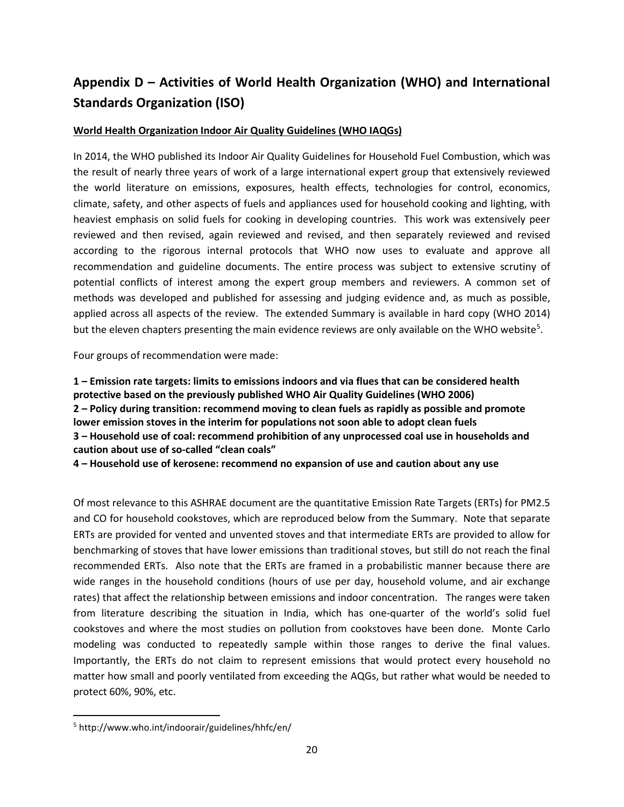## **Appendix D – Activities of World Health Organization (WHO) and International Standards Organization (ISO)**

#### **World Health Organization Indoor Air Quality Guidelines (WHO IAQGs)**

In 2014, the WHO published its Indoor Air Quality Guidelines for Household Fuel Combustion, which was the result of nearly three years of work of a large international expert group that extensively reviewed the world literature on emissions, exposures, health effects, technologies for control, economics, climate, safety, and other aspects of fuels and appliances used for household cooking and lighting, with heaviest emphasis on solid fuels for cooking in developing countries. This work was extensively peer reviewed and then revised, again reviewed and revised, and then separately reviewed and revised according to the rigorous internal protocols that WHO now uses to evaluate and approve all recommendation and guideline documents. The entire process was subject to extensive scrutiny of potential conflicts of interest among the expert group members and reviewers. A common set of methods was developed and published for assessing and judging evidence and, as much as possible, applied across all aspects of the review. The extended Summary is available in hard copy (WHO 2014) but the eleven chapters presenting the main evidence reviews are only available on the WHO website<sup>[5](#page-23-0)</sup>.

Four groups of recommendation were made:

**1 – Emission rate targets: limits to emissions indoors and via flues that can be considered health protective based on the previously published WHO Air Quality Guidelines (WHO 2006) 2 – Policy during transition: recommend moving to clean fuels as rapidly as possible and promote lower emission stoves in the interim for populations not soon able to adopt clean fuels 3 – Household use of coal: recommend prohibition of any unprocessed coal use in households and caution about use of so-called "clean coals"**

**4 – Household use of kerosene: recommend no expansion of use and caution about any use**

Of most relevance to this ASHRAE document are the quantitative Emission Rate Targets (ERTs) for PM2.5 and CO for household cookstoves, which are reproduced below from the Summary. Note that separate ERTs are provided for vented and unvented stoves and that intermediate ERTs are provided to allow for benchmarking of stoves that have lower emissions than traditional stoves, but still do not reach the final recommended ERTs. Also note that the ERTs are framed in a probabilistic manner because there are wide ranges in the household conditions (hours of use per day, household volume, and air exchange rates) that affect the relationship between emissions and indoor concentration. The ranges were taken from literature describing the situation in India, which has one-quarter of the world's solid fuel cookstoves and where the most studies on pollution from cookstoves have been done. Monte Carlo modeling was conducted to repeatedly sample within those ranges to derive the final values. Importantly, the ERTs do not claim to represent emissions that would protect every household no matter how small and poorly ventilated from exceeding the AQGs, but rather what would be needed to protect 60%, 90%, etc.

<span id="page-23-0"></span><sup>5</sup> http://www.who.int/indoorair/guidelines/hhfc/en/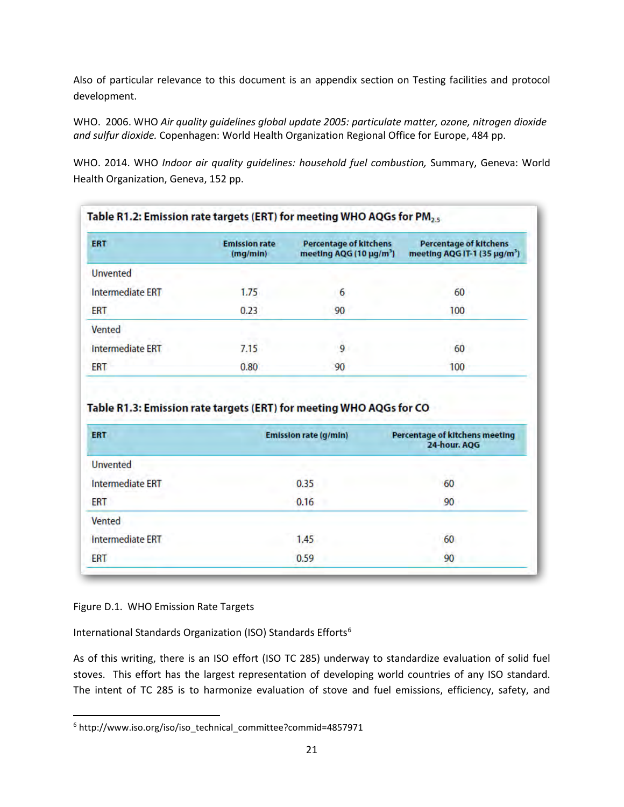Also of particular relevance to this document is an appendix section on Testing facilities and protocol development.

WHO. 2006. WHO *Air quality guidelines global update 2005: particulate matter, ozone, nitrogen dioxide and sulfur dioxide.* Copenhagen: World Health Organization Regional Office for Europe, 484 pp.

WHO. 2014. WHO *Indoor air quality guidelines: household fuel combustion,* Summary, Geneva: World Health Organization, Geneva, 152 pp.

| <b>ERT</b>              | <b>Emission rate</b><br>(mq/min) | <b>Percentage of kitchens</b><br>meeting AQG (10 $\mu$ g/m <sup>3</sup> ) | <b>Percentage of kitchens</b><br>meeting AQG IT-1 (35 µg/m <sup>3</sup> ) |
|-------------------------|----------------------------------|---------------------------------------------------------------------------|---------------------------------------------------------------------------|
| <b>Unvented</b>         |                                  |                                                                           |                                                                           |
| <b>Intermediate ERT</b> | 1.75                             | 6                                                                         | 60                                                                        |
| ERT                     | 0.23                             | 90                                                                        | 100                                                                       |
| Vented                  |                                  |                                                                           |                                                                           |
| <b>Intermediate ERT</b> | 7.15                             | 9                                                                         | 60                                                                        |
| ERT                     | 0.80                             | 90                                                                        | 100                                                                       |

Table R1.3: Emission rate targets (ERT) for meeting WHO AQGs for CO

| <b>ERT</b>              | <b>Emission rate (g/min)</b> | <b>Percentage of kitchens meeting</b><br>24-hour. AQG |
|-------------------------|------------------------------|-------------------------------------------------------|
| <b>Unvented</b>         |                              |                                                       |
| <b>Intermediate ERT</b> | 0.35                         | 50<br>60                                              |
| ERT                     | 0.16                         | 90                                                    |
| Vented                  |                              |                                                       |
| <b>Intermediate ERT</b> | 1.45                         | 60                                                    |
| ERT                     | 0.59                         | 90                                                    |

#### Figure D.1. WHO Emission Rate Targets

International Standards Organization (ISO) Standards Efforts<sup>6</sup>

As of this writing, there is an ISO effort (ISO TC 285) underway to standardize evaluation of solid fuel stoves. This effort has the largest representation of developing world countries of any ISO standard. The intent of TC 285 is to harmonize evaluation of stove and fuel emissions, efficiency, safety, and

<span id="page-24-0"></span><sup>&</sup>lt;sup>6</sup> http://www.iso.org/iso/iso\_technical\_committee?commid=4857971